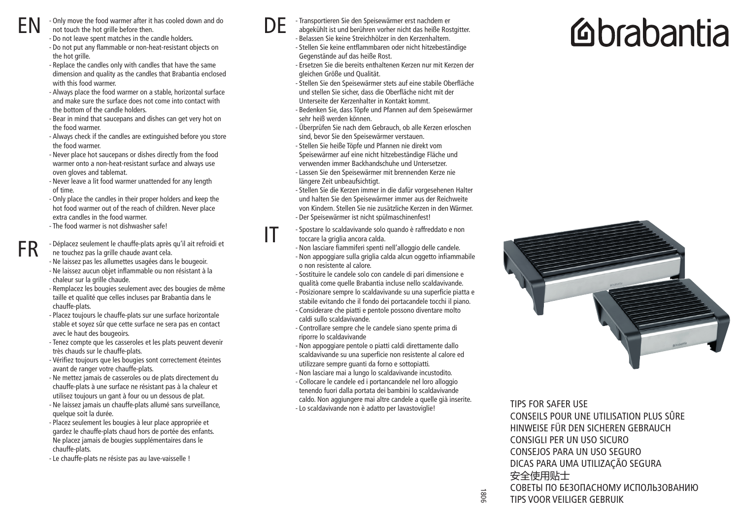EN

FR

- not touch the hot grille before then. - Do not leave spent matches in the candle holders.
- Do not put any flammable or non-heat-resistant objects on the hot grille

- Only move the food warmer after it has cooled down and do

- Replace the candles only with candles that have the same dimension and quality as the candles that Brabantia enclosed with this food warmer.
- Always place the food warmer on a stable, horizontal surface and make sure the surface does not come into contact with the bottom of the candle holders.
- Bear in mind that saucepans and dishes can get very hot on the food warmer.
- Always check if the candles are extinguished before you store the food warmer.
- Never place hot saucepans or dishes directly from the food warmer onto a non-heat-resistant surface and always use oven gloves and tablemat.
- Never leave a lit food warmer unattended for any length of time.
- Only place the candles in their proper holders and keep the hot food warmer out of the reach of children. Never place extra candles in the food warmer.
- The food warmer is not dishwasher safe!
- Déplacez seulement le chauffe-plats après qu'il ait refroidi et ne touchez pas la grille chaude avant cela.
- Ne laissez pas les allumettes usagées dans le bougeoir.
- Ne laissez aucun objet inflammable ou non résistant à la chaleur sur la grille chaude.
- Remplacez les bougies seulement avec des bougies de même taille et qualité que celles incluses par Brabantia dans le chauffe-plats.
- Placez toujours le chauffe-plats sur une surface horizontale stable et soyez sûr que cette surface ne sera pas en contact avec le haut des bougeoirs.
- Tenez compte que les casseroles et les plats peuvent devenir très chauds sur le chauffe-plats.
- Vérifiez toujours que les bougies sont correctement éteintes avant de ranger votre chauffe-plats.
- Ne mettez jamais de casseroles ou de plats directement du chauffe-plats à une surface ne résistant pas à la chaleur et utilisez toujours un gant à four ou un dessous de plat.
- Ne laissez jamais un chauffe-plats allumé sans surveillance, quelque soit la durée.
- Placez seulement les bougies à leur place appropriée et gardez le chauffe-plats chaud hors de portée des enfants. Ne placez jamais de bougies supplémentaires dans le chauffe-plats.
- Le chauffe-plats ne résiste pas au lave-vaisselle !



IT

- Transportieren Sie den Speisewärmer erst nachdem er

- abgekühlt ist und berühren vorher nicht das heiße Rostgitter. - Belassen Sie keine Streichhölzer in den Kerzenhaltern.
	- Stellen Sie keine entflammbaren oder nicht hitzebeständige Gegenstände auf das heiße Rost.
	- Ersetzen Sie die bereits enthaltenen Kerzen nur mit Kerzen der gleichen Größe und Qualität.
	- Stellen Sie den Speisewärmer stets auf eine stabile Oberfläche und stellen Sie sicher, dass die Oberfläche nicht mit der Unterseite der Kerzenhalter in Kontakt kommt.
	- Bedenken Sie, dass Töpfe und Pfannen auf dem Speisewärmer sehr heiß werden können.
	- Überprüfen Sie nach dem Gebrauch, ob alle Kerzen erloschen sind, bevor Sie den Speisewärmer verstauen.
	- Stellen Sie heiße Töpfe und Pfannen nie direkt vom Speisewärmer auf eine nicht hitzebeständige Fläche und verwenden immer Backhandschuhe und Untersetzer. - Lassen Sie den Speisewärmer mit brennenden Kerze nie längere Zeit unbeaufsichtigt.
	- Stellen Sie die Kerzen immer in die dafür vorgesehenen Halter und halten Sie den Speisewärmer immer aus der Reichweite von Kindern. Stellen Sie nie zusätzliche Kerzen in den Wärmer. - Der Speisewärmer ist nicht spülmaschinenfest!
- Spostare lo scaldavivande solo quando è raffreddato e non toccare la griglia ancora calda.
- Non lasciare fiammiferi spenti nell'alloggio delle candele. - Non appoggiare sulla griglia calda alcun oggetto infiammabile o non resistente al calore.
- Sostituire le candele solo con candele di pari dimensione e qualità come quelle Brabantia incluse nello scaldavivande. - Posizionare sempre lo scaldavivande su una superficie piatta e
- stabile evitando che il fondo dei portacandele tocchi il piano. - Considerare che piatti e pentole possono diventare molto
- caldi sullo scaldavivande.
- Controllare sempre che le candele siano spente prima di riporre lo scaldavivande
- Non appoggiare pentole o piatti caldi direttamente dallo scaldavivande su una superficie non resistente al calore ed utilizzare sempre guanti da forno e sottopiatti.
- Non lasciare mai a lungo lo scaldavivande incustodito.
- Collocare le candele ed i portancandele nel loro alloggio tenendo fuori dalla portata dei bambini lo scaldavivande caldo. Non aggiungere mai altre candele a quelle già inserite. - Lo scaldavivande non è adatto per lavastoviglie!

## **Mabantia**



TIPS FOR SAFER USE CONSEILS POUR UNE UTILISATION PLUS SÛRE HINWEISE FÜR DEN SICHEREN GEBRAUCH CONSIGLI PER UN USO SICURO CONSEJOS PARA UN USO SEGURO DICAS PARA UMA UTILIZAÇÃO SEGURA 安全使用贴士 СОВЕТЫ ПО БЕЗОПАСНОМУ ИСПОЛЬЗОВАНИЮ

TIPS VOOR VEILIGER GEBRUIK